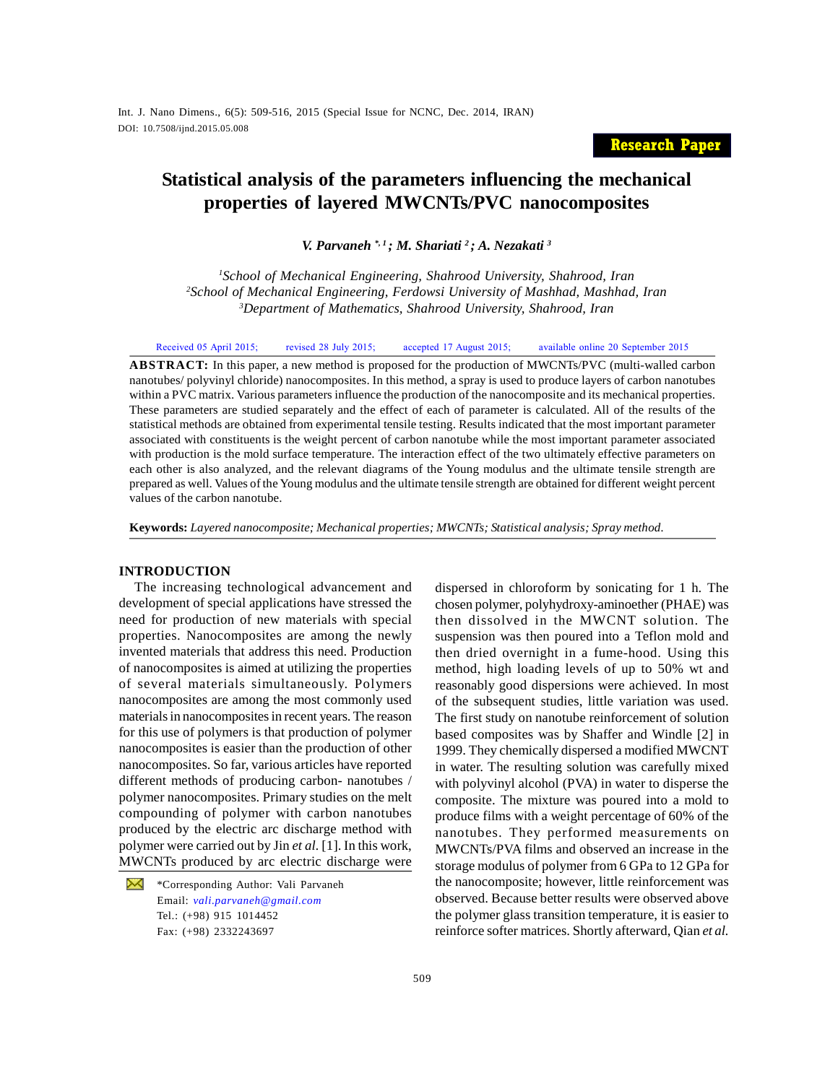## **Research Paper**

**Research**

# **Statistical analysis of the parameters influencing the mechanical properties of layered MWCNTs/PVC nanocomposites**

*V. Parvaneh \*, <sup>1</sup> ; M. Shariati <sup>2</sup> ; A. Nezakati <sup>3</sup>*

*<sup>1</sup>School of Mechanical Engineering, Shahrood University, Shahrood, Iran <sup>2</sup>School of Mechanical Engineering, Ferdowsi University of Mashhad, Mashhad, Iran <sup>3</sup>Department of Mathematics, Shahrood University, Shahrood, Iran*

 $\frac{1}{2015}$  revised 28 July 2015: accented 17 August 2015: available online 20 Sentember 2015

**ABSTRACT:** In this paper, a new method is proposed for the production of MWCNTs/PVC (multi-walled carbon nanotubes/ polyvinyl chloride) nanocomposites. In this method, a spray is used to produce layers of carbon nanotubes within a PVC matrix. Various parameters influence the production of the nanocomposite and its mechanical properties. These parameters are studied separately and the effect of each of parameter is calculated. All of the results of the statistical methods are obtained from experimental tensile testing. Results indicated that the most important parameter associated with constituents is the weight percent of carbon nanotube while the most important parameter associated with production is the mold surface temperature. The interaction effect of the two ultimately effective parameters on each other is also analyzed, and the relevant diagrams of the Young modulus and the ultimate tensile strength are prepared as well. Values of the Young modulus and the ultimate tensile strength are obtained for different weight percent values of the carbon nanotube.

**Keywords:** *Layered nanocomposite; Mechanical properties; MWCNTs; Statistical analysis; Spray method.*

#### **INTRODUCTION**

The increasing technological advancement and development of special applications have stressed the need for production of new materials with special properties. Nanocomposites are among the newly invented materials that address this need. Production of nanocomposites is aimed at utilizing the properties of several materials simultaneously. Polymers nanocomposites are among the most commonly used materials in nanocomposites in recent years. The reason for this use of polymers is that production of polymer nanocomposites is easier than the production of other nanocomposites. So far, various articles have reported different methods of producing carbon- nanotubes / polymer nanocomposites. Primary studies on the melt compounding of polymer with carbon nanotubes produced by the electric arc discharge method with polymer were carried out by Jin *et al.* [1]. In this work, MWCNTs produced by arc electric discharge were

⋙ \*Corresponding Author: Vali Parvaneh Email: *[vali.parvaneh@gmail.com](mailto:vali.parvaneh@gmail.com)* Tel.: (+98) 915 1014452 Fax: (+98) 2332243697

dispersed in chloroform by sonicating for 1 h. The chosen polymer, polyhydroxy-aminoether (PHAE) was then dissolved in the MWCNT solution. The suspension was then poured into a Teflon mold and then dried overnight in a fume-hood. Using this method, high loading levels of up to 50% wt and reasonably good dispersions were achieved. In most of the subsequent studies, little variation was used. The first study on nanotube reinforcement of solution based composites was by Shaffer and Windle [2] in 1999. They chemically dispersed a modified MWCNT in water. The resulting solution was carefully mixed with polyvinyl alcohol (PVA) in water to disperse the composite. The mixture was poured into a mold to produce films with a weight percentage of 60% of the nanotubes. They performed measurements on MWCNTs/PVA films and observed an increase in the storage modulus of polymer from 6 GPa to 12 GPa for the nanocomposite; however, little reinforcement was observed. Because better results were observed above the polymer glass transition temperature, it is easier to reinforce softer matrices. Shortly afterward, Qian *et al.*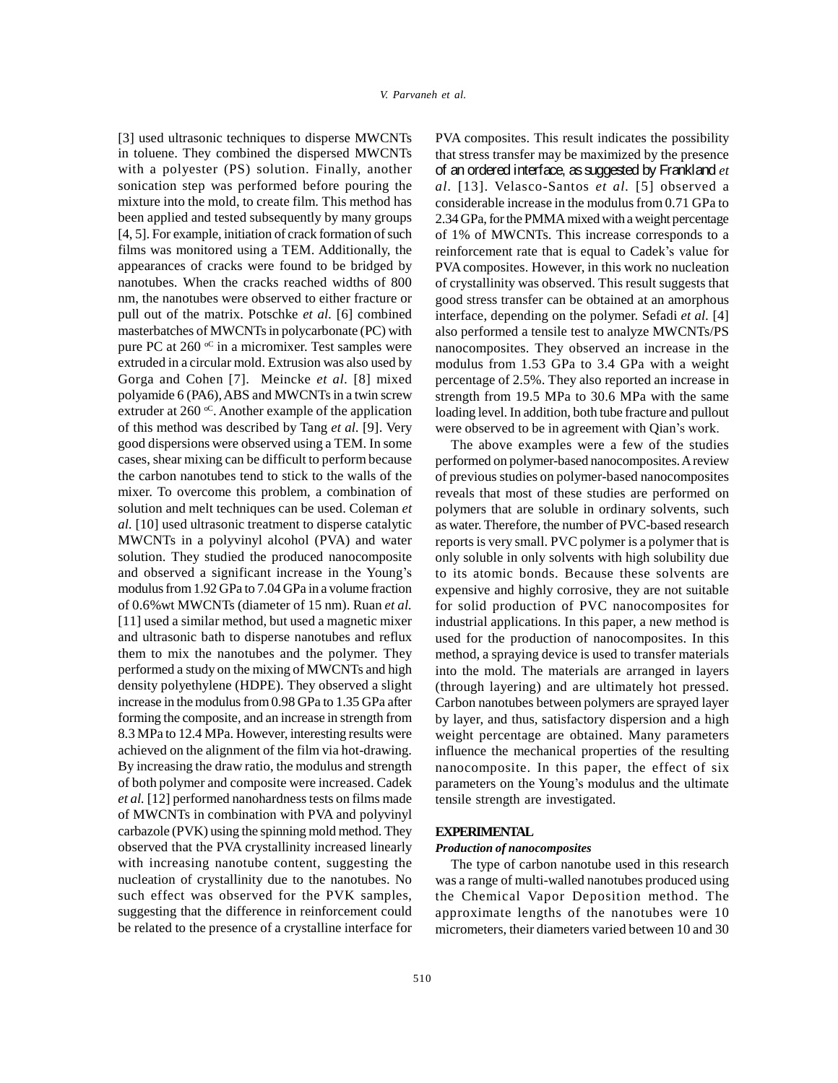[3] used ultrasonic techniques to disperse MWCNTs in toluene. They combined the dispersed MWCNTs with a polyester (PS) solution. Finally, another sonication step was performed before pouring the mixture into the mold, to create film. This method has been applied and tested subsequently by many groups [4, 5]. For example, initiation of crack formation of such films was monitored using a TEM. Additionally, the reinforcement rate that is equal to Cadek's value for appearances of cracks were found to be bridged by nanotubes. When the cracks reached widths of 800 nm, the nanotubes were observed to either fracture or pull out of the matrix. Potschke *et al.* [6] combined masterbatches of MWCNTs in polycarbonate (PC) with pure PC at 260  $\mathrm{C}^{\mathrm{C}}$  in a micromixer. Test samples were nan extruded in a circular mold. Extrusion was also used by Gorga and Cohen [7]. Meincke *et al.* [8] mixed polyamide 6 (PA6), ABS and MWCNTs in a twin screw extruder at 260 $\degree$ C. Another example of the application loadi of this method was described by Tang *et al.* [9]. Very good dispersions were observed using a TEM. In some cases, shear mixing can be difficult to perform because the carbon nanotubes tend to stick to the walls of the mixer. To overcome this problem, a combination of solution and melt techniques can be used. Coleman *et al.* [10] used ultrasonic treatment to disperse catalytic MWCNTs in a polyvinyl alcohol (PVA) and water repsolution. They studied the produced nanocomposite only and observed a significant increase in the Young's to solution. They studied the produced nanocomposite modulusfrom1.92 GPa to 7.04 GPa in a volume fraction of 0.6%wt MWCNTs (diameter of 15 nm). Ruan *et al.* [11] used a similar method, but used a magnetic mixer and ultrasonic bath to disperse nanotubes and reflux them to mix the nanotubes and the polymer. They performed a study on the mixing of MWCNTs and high density polyethylene (HDPE). They observed a slight increase in the modulus from 0.98 GPa to 1.35 GPa after forming the composite, and an increase in strength from 8.3 MPa to 12.4 MPa. However, interesting results were achieved on the alignment of the film via hot-drawing. By increasing the draw ratio, the modulus and strength of both polymer and composite were increased. Cadek *et al.* [12] performed nanohardness tests on films made of MWCNTs in combination with PVA and polyvinyl carbazole (PVK) using the spinning mold method. They observed that the PVA crystallinity increased linearly with increasing nanotube content, suggesting the nucleation of crystallinity due to the nanotubes. No such effect was observed for the PVK samples, suggesting that the difference in reinforcement could be related to the presence of a crystalline interface for

PVA composites. This result indicates the possibility that stress transfer may be maximized by the presence of an ordered interface, assuggested by Frankland *et al.* [13]. Velasco-Santos *et al.* [5] observed a considerable increase in the modulus from 0.71 GPa to 2.34 GPa, for the PMMA mixed with a weight percentage<br>of 1% of MWCNTs. This increase corresponds to a<br>reinforcement rate that is equal to Cadek's value for of 1% of MWCNTs. This increase corresponds to a PVA composites. However, in this work no nucleation of crystallinity was observed. This result suggests that good stress transfer can be obtained at an amorphous interface, depending on the polymer. Sefadi *et al.* [4] also performed a tensile test to analyze MWCNTs/PS nanocomposites. They observed an increase in the modulus from 1.53 GPa to 3.4 GPa with a weight percentage of 2.5%. They also reported an increase in strength from 19.5 MPa to 30.6 MPa with the same loading level. In addition, both tube fracture and pullout strength from 19.5 MPa to 30.6 MPa with the same<br>loading level. In addition, both tube fracture and pullout<br>were observed to be in agreement with Qian's work.

The above examples were a few of the studies performed on polymer-based nanocomposites.Areview of previous studies on polymer-based nanocomposites reveals that most of these studies are performed on polymers that are soluble in ordinary solvents, such as water. Therefore, the number of PVC-based research reports is very small. PVC polymer is a polymer that is only soluble in only solvents with high solubility due to its atomic bonds. Because these solvents are expensive and highly corrosive, they are not suitable for solid production of PVC nanocomposites for industrial applications. In this paper, a new method is used for the production of nanocomposites. In this method, a spraying device is used to transfer materials into the mold. The materials are arranged in layers (through layering) and are ultimately hot pressed. Carbon nanotubes between polymers are sprayed layer by layer, and thus, satisfactory dispersion and a high weight percentage are obtained. Many parameters influence the mechanical properties of the resulting nanocomposite. In this paper, the effect of six influence the mechanical properties of the resulting<br>nanocomposite. In this paper, the effect of six<br>parameters on the Young's modulus and the ultimate tensile strength are investigated.

#### **EXPERIMENTAL**

#### *Production of nanocomposites*

The type of carbon nanotube used in this research was a range of multi-walled nanotubes produced using the Chemical Vapor Deposition method. The approximate lengths of the nanotubes were 10 micrometers, their diameters varied between 10 and 30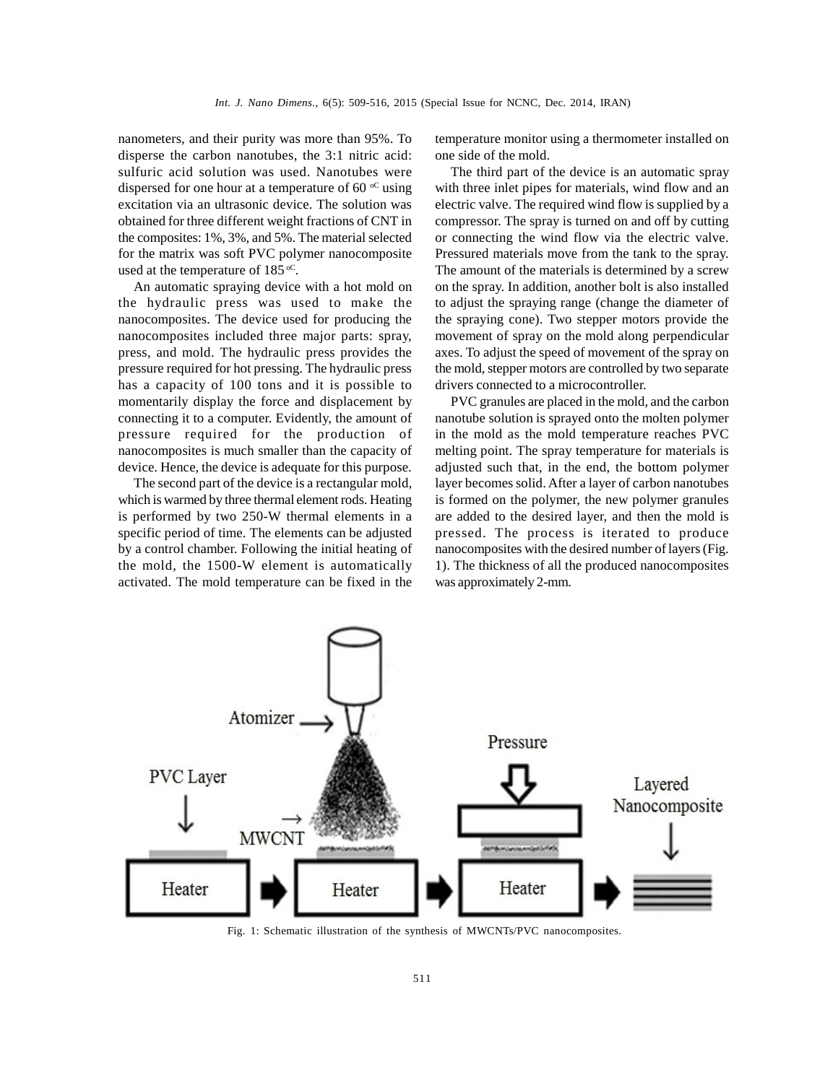nanometers, and their purity was more than 95%. To disperse the carbon nanotubes, the 3:1 nitric acid: sulfuric acid solution was used. Nanotubes were dispersed for one hour at a temperature of 60 $\degree$ <sup>c</sup> using with excitation via an ultrasonic device. The solution was obtained for three different weight fractions of CNT in the composites: 1%, 3%, and 5%. The material selected for the matrix was soft PVC polymer nanocomposite used at the temperature of  $185^{\circ}$ C.

An automatic spraying device with a hot mold on the hydraulic press was used to make the nanocomposites. The device used for producing the nanocomposites included three major parts: spray, press, and mold. The hydraulic press provides the pressure required for hot pressing. The hydraulic press has a capacity of 100 tons and it is possible to momentarily display the force and displacement by connecting it to a computer. Evidently, the amount of pressure required for the production of nanocomposites is much smaller than the capacity of device. Hence, the device is adequate for this purpose.

The second part of the device is a rectangular mold, which is warmed by three thermal element rods. Heating is performed by two 250-W thermal elements in a specific period of time. The elements can be adjusted by a control chamber. Following the initial heating of the mold, the 1500-W element is automatically activated. The mold temperature can be fixed in the temperature monitor using a thermometer installed on one side of the mold.

The third part of the device is an automatic spray with three inlet pipes for materials, wind flow and an electric valve. The required wind flow is supplied by a compressor. The spray is turned on and off by cutting or connecting the wind flow via the electric valve. Pressured materials move from the tank to the spray. The amount of the materials is determined by a screw on the spray. In addition, another bolt is also installed to adjust the spraying range (change the diameter of the spraying cone). Two stepper motors provide the movement of spray on the mold along perpendicular axes. To adjust the speed of movement of the spray on the mold, stepper motors are controlled by two separate drivers connected to a microcontroller.

PVC granules are placed in the mold, and the carbon nanotube solution is sprayed onto the molten polymer in the mold as the mold temperature reaches PVC melting point. The spray temperature for materials is adjusted such that, in the end, the bottom polymer layer becomes solid. After a layer of carbon nanotubes is formed on the polymer, the new polymer granules are added to the desired layer, and then the mold is pressed. The process is iterated to produce nanocomposites with the desired number of layers (Fig. 1). The thickness of all the produced nanocomposites was approximately 2-mm.



Fig. 1: Schematic illustration of the synthesis of MWCNTs/PVC nanocomposites.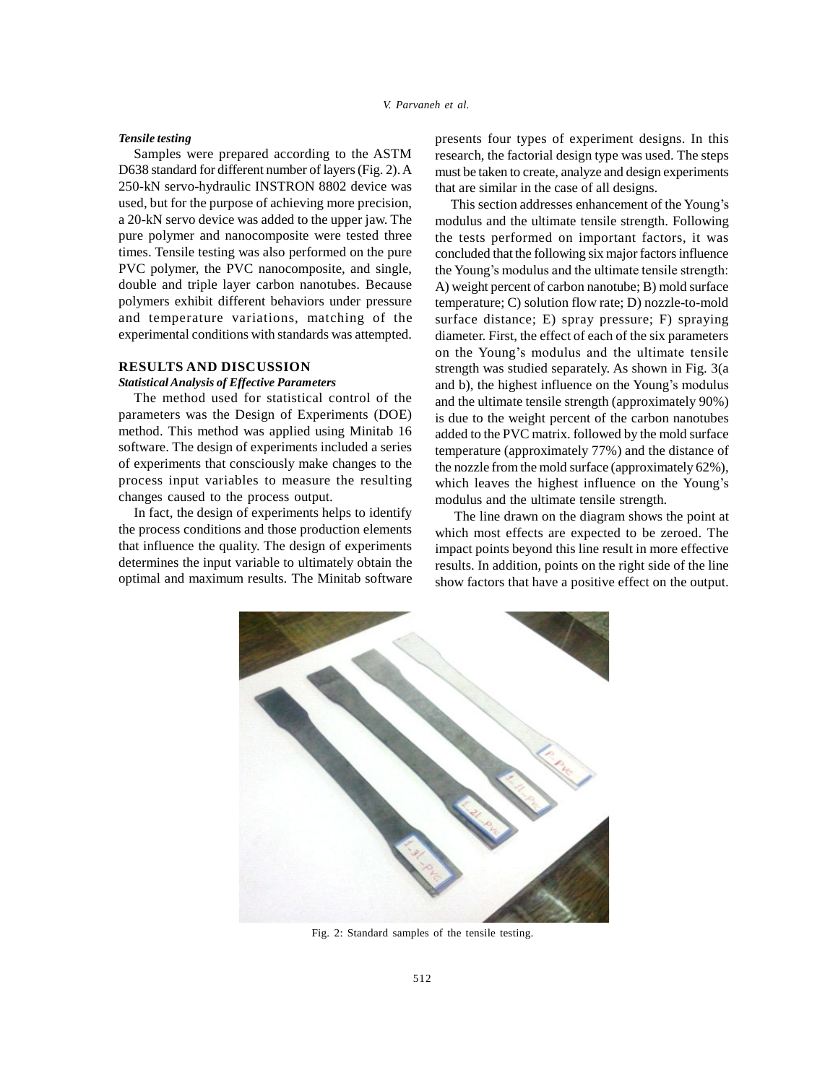#### *Tensile testing*

Samples were prepared according to the ASTM D638 standard for different number of layers(Fig. 2).A 250-kN servo-hydraulic INSTRON 8802 device was used, but for the purpose of achieving more precision, a 20-kN servo device was added to the upper jaw. The pure polymer and nanocomposite were tested three times. Tensile testing was also performed on the pure PVC polymer, the PVC nanocomposite, and single, double and triple layer carbon nanotubes. Because polymers exhibit different behaviors under pressure and temperature variations, matching of the experimental conditions with standards was attempted.

#### **RESULTS AND DISCUSSION**

### *StatisticalAnalysis of Effective Parameters*

The method used for statistical control of the parameters was the Design of Experiments (DOE) method. This method was applied using Minitab 16 software. The design of experiments included a series of experiments that consciously make changes to the changes caused to the process output.

In fact, the design of experiments helps to identify the process conditions and those production elements that influence the quality. The design of experiments determines the input variable to ultimately obtain the optimal and maximum results. The Minitab software

presents four types of experiment designs. In this research, the factorial design type was used. The steps must be taken to create, analyze and design experiments<br>that are similar in the case of all designs.<br>This section addresses enhancement of the Young's that are similar in the case of all designs.

process input variables to measure the resulting which leaves the highest influence on the Young's modulus and the ultimate tensile strength. Following the tests performed on important factors, it was concluded that the following six major factors influence the tests performed on important factors, it was<br>concluded that the following six major factors influence<br>the Young's modulus and the ultimate tensile strength: A) weight percent of carbon nanotube; B) mold surface temperature; C) solution flow rate; D) nozzle-to-mold surface distance; E) spray pressure; F) spraying<br>diameter. First, the effect of each of the six parameters<br>on the Young's modulus and the ultimate tensile diameter. First, the effect of each of the six parameters strength was studied separately. As shown in Fig. 3(a on the Young's modulus and the ultimate tensile<br>strength was studied separately. As shown in Fig. 3(a<br>and b), the highest influence on the Young's modulus and the ultimate tensile strength (approximately 90%) is due to the weight percent of the carbon nanotubes added to the PVC matrix. followed by the mold surface temperature (approximately 77%) and the distance of the nozzle from the mold surface (approximately 62%), temperature (approximately 77%) and the distance of<br>the nozzle from the mold surface (approximately 62%),<br>which leaves the highest influence on the Young's modulus and the ultimate tensile strength.

> The line drawn on the diagram shows the point at which most effects are expected to be zeroed. The impact points beyond this line result in more effective results. In addition, points on the right side of the line show factors that have a positive effect on the output.



Fig. 2: Standard samples of the tensile testing.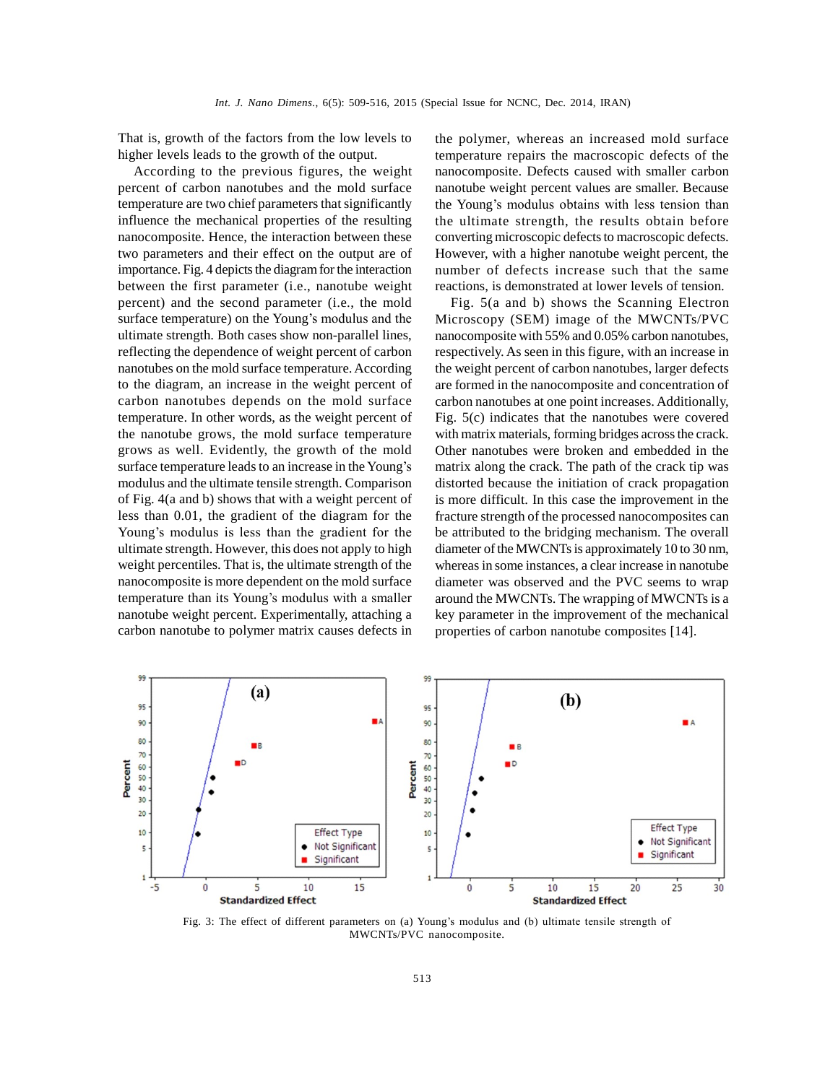That is, growth of the factors from the low levels to higher levels leads to the growth of the output.

According to the previous figures, the weight percent of carbon nanotubes and the mold surface temperature are two chief parameters that significantly the Young's modulus obtains with less tension than influence the mechanical properties of the resulting nanocomposite. Hence, the interaction between these two parameters and their effect on the output are of importance. Fig. 4 depicts the diagram for the interaction between the first parameter (i.e., nanotube weight read-<br>percent) and the second parameter (i.e., the mold<br>surface temperature) on the Young's modulus and the Mic percent) and the second parameter (i.e., the mold ultimate strength. Both cases show non-parallel lines, reflecting the dependence of weight percent of carbon nanotubes on the mold surface temperature. According to the diagram, an increase in the weight percent of carbon nanotubes depends on the mold surface temperature. In other words, as the weight percent of the nanotube grows, the mold surface temperature grows as well. Evidently, the growth of the mold the nanotube grows, the mold surface temperature with grows as well. Evidently, the growth of the mold Other Surface temperature leads to an increase in the Young's modulus and the ultimate tensile strength. Comparison of Fig. 4(a and b) shows that with a weight percent of less than 0.01, the gradient of the diagram for the Young's modulus is less than the gradient for the ultimate strength. However, this does not apply to high weight percentiles. That is, the ultimate strength of the whe<br>nanocomposite is more dependent on the mold surface diar<br>temperature than its Young's modulus with a smaller arou nanocomposite is more dependent on the mold surface nanotube weight percent. Experimentally, attaching a carbon nanotube to polymer matrix causes defects in

the polymer, whereas an increased mold surface temperature repairs the macroscopic defects of the nanocomposite. Defects caused with smaller carbon<br>nanotube weight percent values are smaller. Because<br>the Young's modulus obtains with less tension than nanotube weight percent values are smaller. Because the ultimate strength, the results obtain before converting microscopic defects to macroscopic defects. However, with a higher nanotube weight percent, the number of defects increase such that the same reactions, is demonstrated at lower levels of tension.

Fig. 5(a and b) shows the Scanning Electron Microscopy (SEM) image of the MWCNTs/PVC nanocomposite with 55% and 0.05% carbon nanotubes, respectively. As seen in this figure, with an increase in the weight percent of carbon nanotubes, larger defects are formed in the nanocomposite and concentration of carbon nanotubes at one point increases. Additionally, Fig. 5(c) indicates that the nanotubes were covered with matrix materials, forming bridges across the crack. Other nanotubes were broken and embedded in the matrix along the crack. The path of the crack tip was distorted because the initiation of crack propagation is more difficult. In this case the improvement in the fracture strength of the processed nanocomposites can be attributed to the bridging mechanism. The overall diameter of the MWCNTs is approximately 10 to 30 nm, whereas in some instances, a clear increase in nanotube diameter was observed and the PVC seems to wrap around the MWCNTs. The wrapping of MWCNTs is a key parameter in the improvement of the mechanical properties of carbon nanotube composites [14].



MWCNTs/PVC nanocomposite.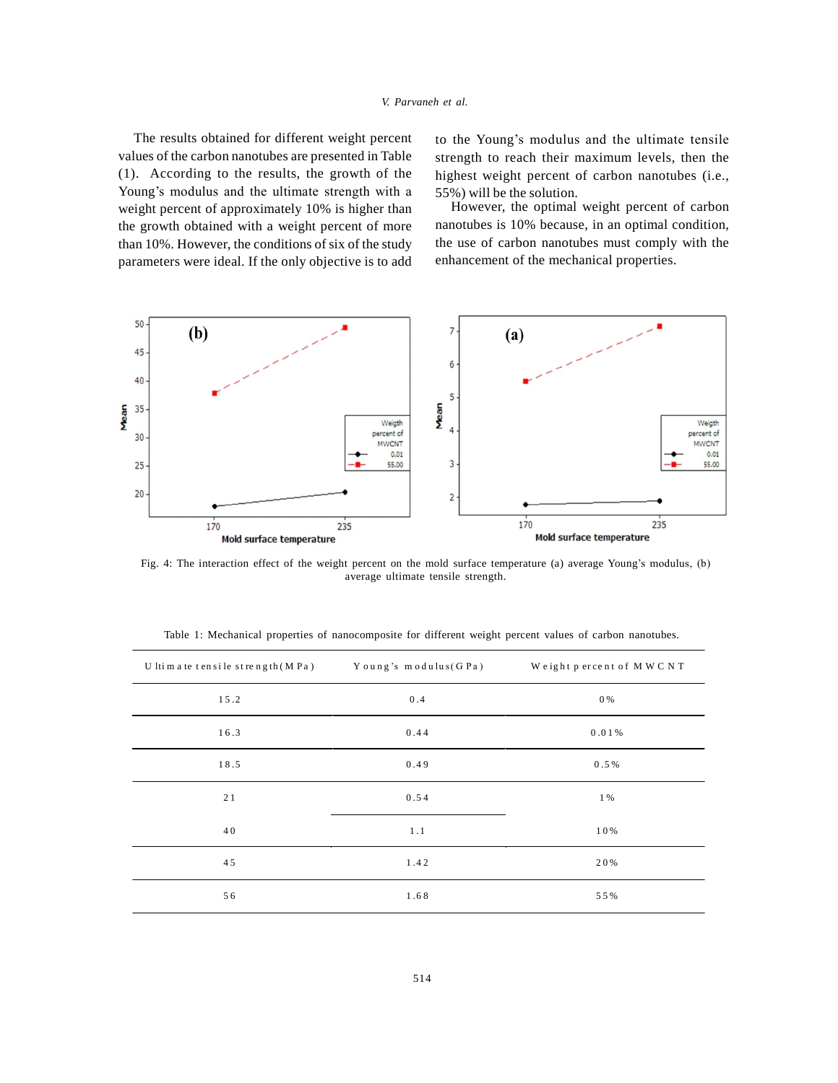The results obtained for different weight percent values of the carbon nanotubes are presented in Table (1). According to the results, the growth of the values of the carbon nanotubes are presented in Table stre<br>
(1). According to the results, the growth of the high<br>
Young's modulus and the ultimate strength with a 55% weight percent of approximately 10% is higher than the growth obtained with a weight percent of more than 10%. However, the conditions of six of the study parameters were ideal. If the only objective is to add

to the Young's modulus and the ultimate tensile strength to reach their maximum levels, then the highest weight percent of carbon nanotubes (i.e., 55%) will be the solution.

However, the optimal weight percent of carbon nanotubes is 10% because, in an optimal condition, the use of carbon nanotubes must comply with the enhancement of the mechanical properties.



average ultimate tensile strength.

| Ultimate tensile strength (MPa) Young's modulus (GPa) |      | Weight percent of MWCNT |
|-------------------------------------------------------|------|-------------------------|
| 15.2                                                  | 0.4  | $0\%$                   |
| 16.3                                                  | 0.44 | 0.01%                   |
| 18.5                                                  | 0.49 | 0.5%                    |
| 21                                                    | 0.54 | 1 %                     |
| 40                                                    | 1.1  | 10%                     |
| 45                                                    | 1.42 | 20%                     |
| 56                                                    | 1.68 | 55%                     |
|                                                       |      |                         |

Table 1: Mechanical properties of nanocomposite for different weight percent values of carbon nanotubes.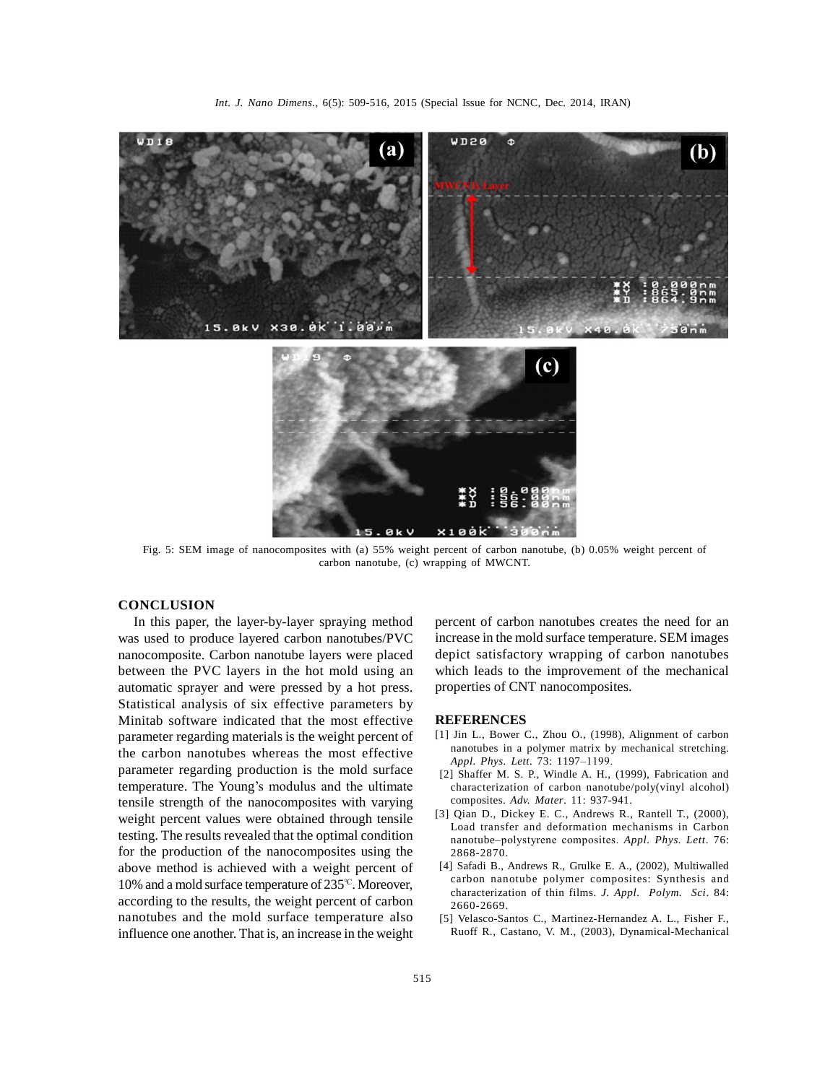*Int. J. Nano Dimens.*, 6(5): 509-516, 2015 (Special Issue for NCNC, Dec. 2014, IRAN)



Fig. 5: SEM image of nanocomposites with (a) 55% weight percent of carbon nanotube, (b) 0.05% weight percent of carbon nanotube, (c) wrapping of MWCNT.

#### **CONCLUSION**

In this paper, the layer-by-layer spraying method was used to produce layered carbon nanotubes/PVC nanocomposite. Carbon nanotube layers were placed between the PVC layers in the hot mold using an automatic sprayer and were pressed by a hot press. Statistical analysis of six effective parameters by Minitab software indicated that the most effective parameter regarding materials is the weight percent of the carbon nanotubes whereas the most effective  $A$ <br>parameter regarding production is the mold surface  $[2]$ <br>temperature. The Young's modulus and the ultimate c parameter regarding production is the mold surface<br>parameter regarding production is the mold surface<br> $\frac{Appl. Phys. Lett. 73: 1197-1199}{p_1}$ tensile strength of the nanocomposites with varying weight percent values were obtained through tensile testing. The results revealed that the optimal condition for the production of the nanocomposites using the above method is achieved with a weight percent of  $[4]$ 10% and a mold surface temperature of 235 . Moreover, according to the results, the weight percent of carbon nanotubes and the mold surface temperature also influence one another. That is, an increase in the weight

percent of carbon nanotubes creates the need for an increase in the mold surface temperature. SEM images depict satisfactory wrapping of carbon nanotubes which leads to the improvement of the mechanical properties of CNT nanocomposites.

#### **REFERENCES**

- [1] Jin L., Bower C., Zhou O., (1998), Alignment of carbon nanotubes in a polymer matrix by mechanical stretching. *Jin L., Bower C., Zhou O., (1998), <i>A* nanotubes in a polymer matrix by me<br>*Appl. Phys. Lett.* 73: 1197–1199.
- [2] Shaffer M. S. P., Windle A. H., (1999), Fabrication and characterization of carbon nanotube/poly(vinyl alcohol) composites. *Adv. Mater*. 11: 937-941.
- [3] Qian D., Dickey E. C., Andrews R., Rantell T., (2000), Load transfer and deformation mechanisms in Carbon nanotube-polystyrene composites. *Appl. Phys. Lett.* 76: 2868-2870.
- [4] Safadi B., Andrews R., Grulke E. A., (2002), Multiwalled carbon nanotube polymer composites: Synthesis and characterization of thin films. *J. Appl. Polym. Sci*. 84: 2660-2669.
- [5] Velasco-Santos C., Martinez-Hernandez A.L., Fisher F., Ruoff R., Castano, V. M., (2003), Dynamical-Mechanical